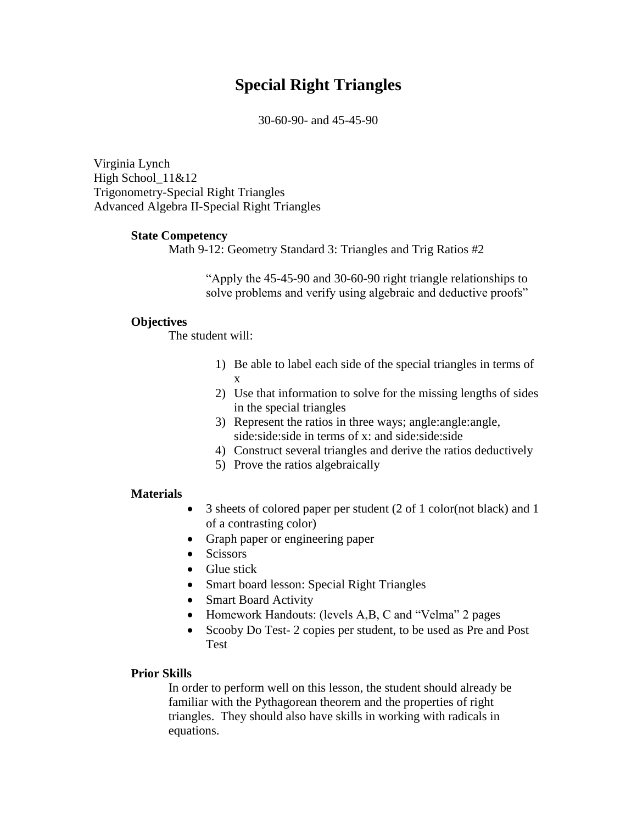# **Special Right Triangles**

30-60-90- and 45-45-90

Virginia Lynch High School  $11&812$ Trigonometry-Special Right Triangles Advanced Algebra II-Special Right Triangles

#### **State Competency**

Math 9-12: Geometry Standard 3: Triangles and Trig Ratios #2

"Apply the 45-45-90 and 30-60-90 right triangle relationships to solve problems and verify using algebraic and deductive proofs"

#### **Objectives**

The student will:

- 1) Be able to label each side of the special triangles in terms of x
- 2) Use that information to solve for the missing lengths of sides in the special triangles
- 3) Represent the ratios in three ways; angle:angle:angle, side: side: side in terms of x: and side: side: side
- 4) Construct several triangles and derive the ratios deductively
- 5) Prove the ratios algebraically

#### **Materials**

- 3 sheets of colored paper per student (2 of 1 color(not black) and 1 of a contrasting color)
- Graph paper or engineering paper
- Scissors
- Glue stick
- Smart board lesson: Special Right Triangles
- Smart Board Activity
- Homework Handouts: (levels A,B, C and "Velma" 2 pages
- Scooby Do Test- 2 copies per student, to be used as Pre and Post Test

#### **Prior Skills**

In order to perform well on this lesson, the student should already be familiar with the Pythagorean theorem and the properties of right triangles. They should also have skills in working with radicals in equations.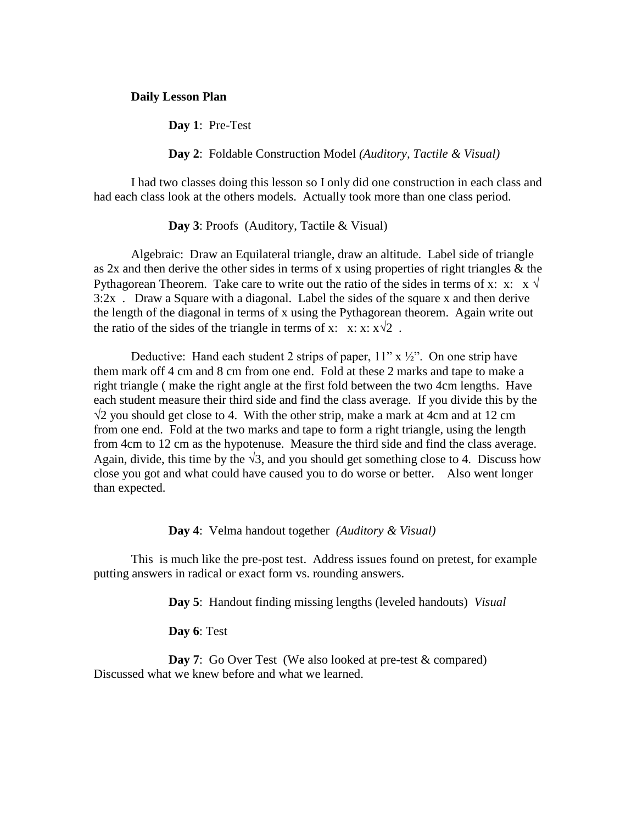#### **Daily Lesson Plan**

**Day 1**: Pre-Test

**Day 2**: Foldable Construction Model *(Auditory, Tactile & Visual)*

I had two classes doing this lesson so I only did one construction in each class and had each class look at the others models. Actually took more than one class period.

**Day 3**: Proofs (Auditory, Tactile & Visual)

Algebraic: Draw an Equilateral triangle, draw an altitude. Label side of triangle as 2x and then derive the other sides in terms of x using properties of right triangles & the Pythagorean Theorem. Take care to write out the ratio of the sides in terms of x: x:  $\mathbf{x} \sqrt{ }$  $3:2x$ . Draw a Square with a diagonal. Label the sides of the square x and then derive the length of the diagonal in terms of x using the Pythagorean theorem. Again write out the ratio of the sides of the triangle in terms of x: x: x:  $x\sqrt{2}$ .

Deductive: Hand each student 2 strips of paper,  $11'' \times \frac{1}{2}''$ . On one strip have them mark off 4 cm and 8 cm from one end. Fold at these 2 marks and tape to make a right triangle ( make the right angle at the first fold between the two 4cm lengths. Have each student measure their third side and find the class average. If you divide this by the  $\sqrt{2}$  you should get close to 4. With the other strip, make a mark at 4cm and at 12 cm from one end. Fold at the two marks and tape to form a right triangle, using the length from 4cm to 12 cm as the hypotenuse. Measure the third side and find the class average. Again, divide, this time by the  $\sqrt{3}$ , and you should get something close to 4. Discuss how close you got and what could have caused you to do worse or better. Also went longer than expected.

**Day 4**: Velma handout together *(Auditory & Visual)*

This is much like the pre-post test. Address issues found on pretest, for example putting answers in radical or exact form vs. rounding answers.

**Day 5**: Handout finding missing lengths (leveled handouts) *Visual*

**Day 6**: Test

**Day 7:** Go Over Test (We also looked at pre-test & compared) Discussed what we knew before and what we learned.